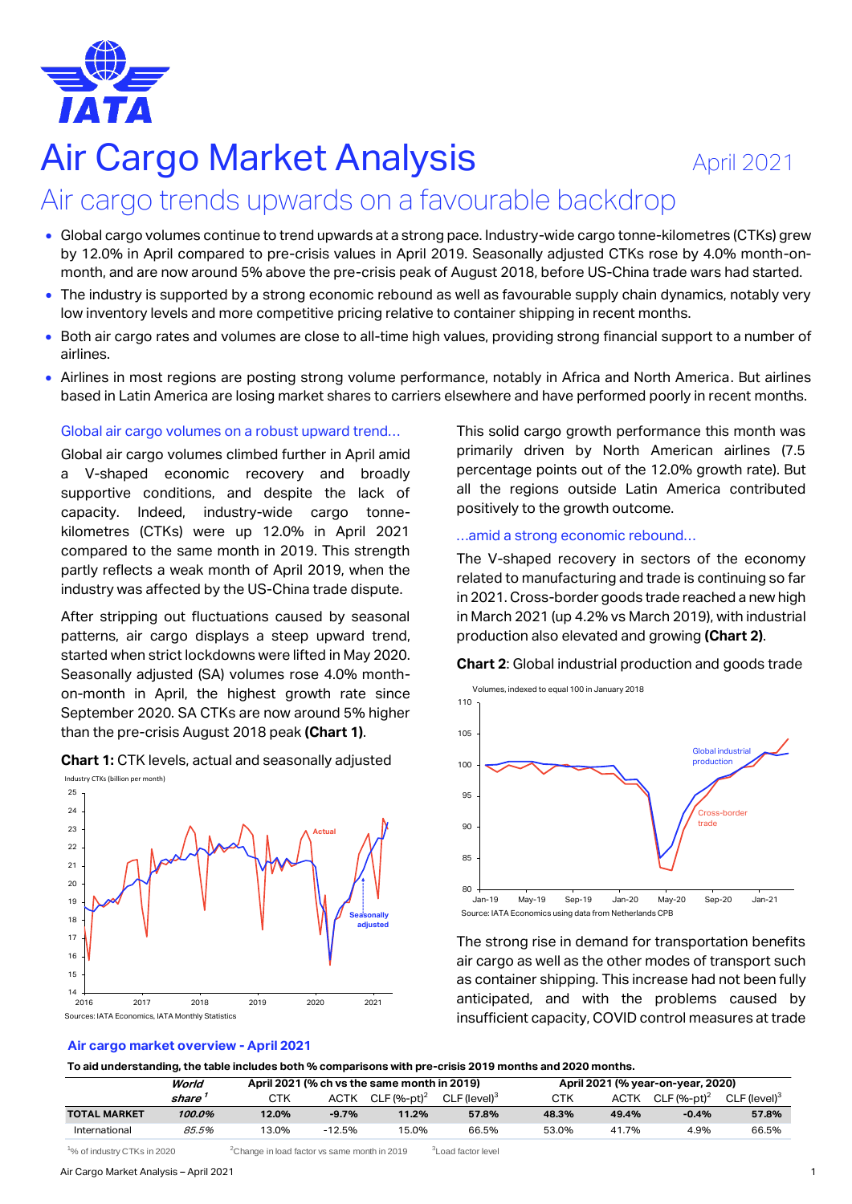

# Air Cargo Market Analysis **Air Cargo Market Analysis** April 2021

# Air cargo trends upwards on a favourable backdrop

- Global cargo volumes continue to trend upwards at a strong pace. Industry-wide cargo tonne-kilometres (CTKs) grew by 12.0% in April compared to pre-crisis values in April 2019. Seasonally adjusted CTKs rose by 4.0% month-onmonth, and are now around 5% above the pre-crisis peak of August 2018, before US-China trade wars had started.
- The industry is supported by a strong economic rebound as well as favourable supply chain dynamics, notably very low inventory levels and more competitive pricing relative to container shipping in recent months.
- Both air cargo rates and volumes are close to all-time high values, providing strong financial support to a number of airlines.
- Airlines in most regions are posting strong volume performance, notably in Africa and North America. But airlines based in Latin America are losing market shares to carriers elsewhere and have performed poorly in recent months.

#### Global air cargo volumes on a robust upward trend…

Global air cargo volumes climbed further in April amid a V-shaped economic recovery and broadly supportive conditions, and despite the lack of capacity. Indeed, industry-wide cargo tonnekilometres (CTKs) were up 12.0% in April 2021 compared to the same month in 2019. This strength partly reflects a weak month of April 2019, when the industry was affected by the US-China trade dispute.

After stripping out fluctuations caused by seasonal patterns, air cargo displays a steep upward trend, started when strict lockdowns were lifted in May 2020. Seasonally adjusted (SA) volumes rose 4.0% monthon-month in April, the highest growth rate since September 2020. SA CTKs are now around 5% higher than the pre-crisis August 2018 peak **(Chart 1)**.

**Chart 1:** CTK levels, actual and seasonally adjusted



#### **Air cargo market overview - April 2021**

This solid cargo growth performance this month was primarily driven by North American airlines (7.5 percentage points out of the 12.0% growth rate). But all the regions outside Latin America contributed positively to the growth outcome.

#### …amid a strong economic rebound…

The V-shaped recovery in sectors of the economy related to manufacturing and trade is continuing so far in 2021. Cross-border goods trade reached a new high in March 2021 (up 4.2% vs March 2019), with industrial production also elevated and growing **(Chart 2)**.

**Chart 2**: Global industrial production and goods trade



The strong rise in demand for transportation benefits air cargo as well as the other modes of transport such as container shipping. This increase had not been fully anticipated, and with the problems caused by insufficient capacity, COVID control measures at trade

|                     | . .    |                                             |             |                |                          |                                   |             |                           |                          |  |
|---------------------|--------|---------------------------------------------|-------------|----------------|--------------------------|-----------------------------------|-------------|---------------------------|--------------------------|--|
|                     | World  | April 2021 (% ch vs the same month in 2019) |             |                |                          | April 2021 (% year-on-year, 2020) |             |                           |                          |  |
|                     | share  | CTK                                         | <b>ACTK</b> | CLF $(%-pt)^2$ | CLF (level) <sup>3</sup> | <b>CTK</b>                        | <b>ACTK</b> | $CLF$ (%-pt) <sup>2</sup> | CLF (level) <sup>3</sup> |  |
| <b>TOTAL MARKET</b> | 100.0% | 12.0%                                       | $-9.7%$     | 11.2%          | 57.8%                    | 48.3%                             | 49.4%       | $-0.4%$                   | 57.8%                    |  |
| International       | 85.5%  | 13.0%                                       | $-12.5%$    | 15.0%          | 66.5%                    | 53.0%                             | 41.7%       | 4.9%                      | 66.5%                    |  |

 $1\%$  of industry CTKs in 2020  $2$ Change in load factor vs same month in 2019  $3$ Load factor level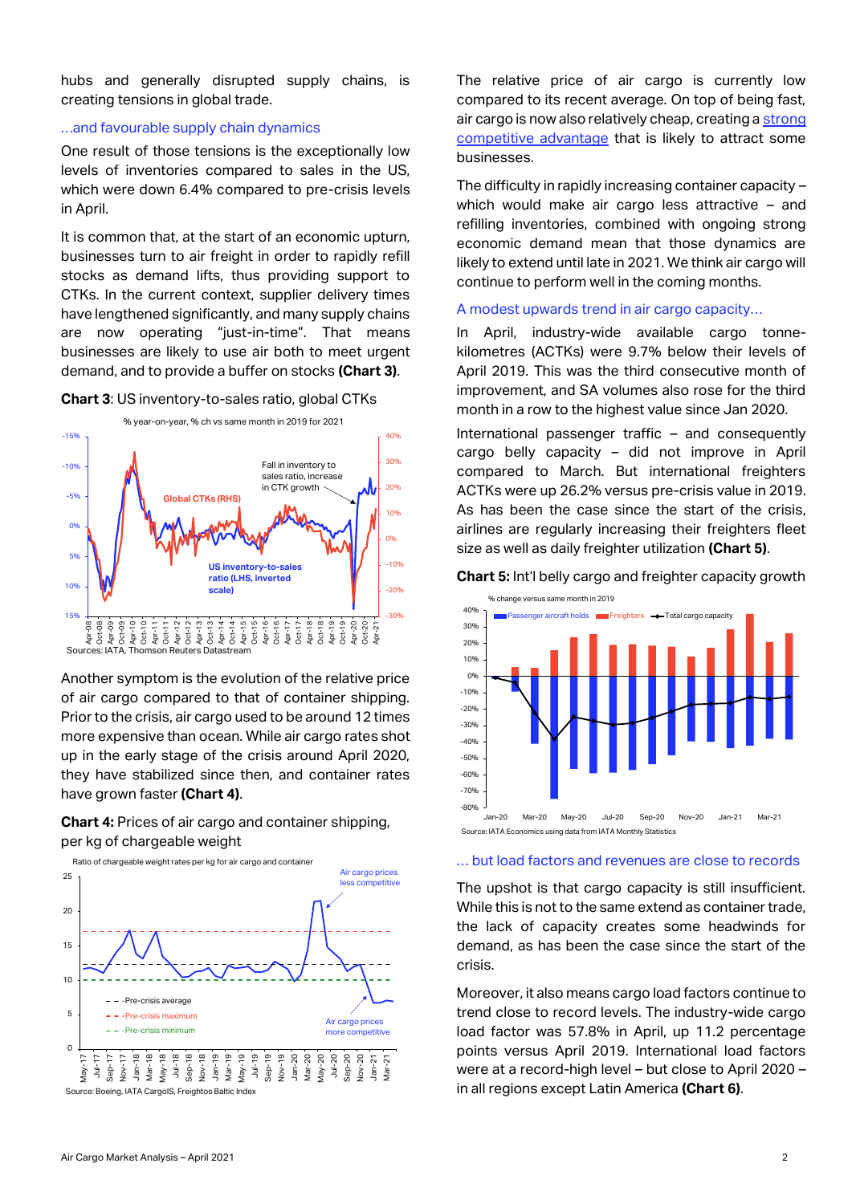hubs and generally disrupted supply chains, is creating tensions in global trade.

#### …and favourable supply chain dynamics

One result of those tensions is the exceptionally low levels of inventories compared to sales in the US, which were down 6.4% compared to pre-crisis levels in April.

It is common that, at the start of an economic upturn, businesses turn to air freight in order to rapidly refill stocks as demand lifts, thus providing support to CTKs. In the current context, supplier delivery times have lengthened significantly, and many supply chains are now operating "just-in-time". That means businesses are likely to use air both to meet urgent demand, and to provide a buffer on stocks **(Chart 3)**.

#### **Chart 3**: US inventory-to-sales ratio, global CTKs



Another symptom is the evolution of the relative price of air cargo compared to that of container shipping. Prior to the crisis, air cargo used to be around 12 times more expensive than ocean. While air cargo rates shot up in the early stage of the crisis around April 2020, they have stabilized since then, and container rates have grown faster **(Chart 4)**.

**Chart 4:** Prices of air cargo and container shipping, per kg of chargeable weight



The relative price of air cargo is currently low compared to its recent average. On top of being fast, air cargo is now also relatively cheap, creating [a strong](https://www.iata.org/en/iata-repository/publications/economic-reports/competitive-advantage-of-air-cargo-not-only-speed-but-also-price/)  [competitive advantage](https://www.iata.org/en/iata-repository/publications/economic-reports/competitive-advantage-of-air-cargo-not-only-speed-but-also-price/) that is likely to attract some businesses.

The difficulty in rapidly increasing container capacity – which would make air cargo less attractive – and refilling inventories, combined with ongoing strong economic demand mean that those dynamics are likely to extend until late in 2021. We think air cargo will continue to perform well in the coming months.

#### A modest upwards trend in air cargo capacity…

In April, industry-wide available cargo tonnekilometres (ACTKs) were 9.7% below their levels of April 2019. This was the third consecutive month of improvement, and SA volumes also rose for the third month in a row to the highest value since Jan 2020.

International passenger traffic – and consequently cargo belly capacity – did not improve in April compared to March. But international freighters ACTKs were up 26.2% versus pre-crisis value in 2019. As has been the case since the start of the crisis, airlines are regularly increasing their freighters fleet size as well as daily freighter utilization **(Chart 5)**.





#### … but load factors and revenues are close to records

The upshot is that cargo capacity is still insufficient. While this is not to the same extend as container trade, the lack of capacity creates some headwinds for demand, as has been the case since the start of the crisis.

Moreover, it also means cargo load factors continue to trend close to record levels. The industry-wide cargo load factor was 57.8% in April, up 11.2 percentage points versus April 2019. International load factors were at a record-high level – but close to April 2020 – in all regions except Latin America **(Chart 6)**.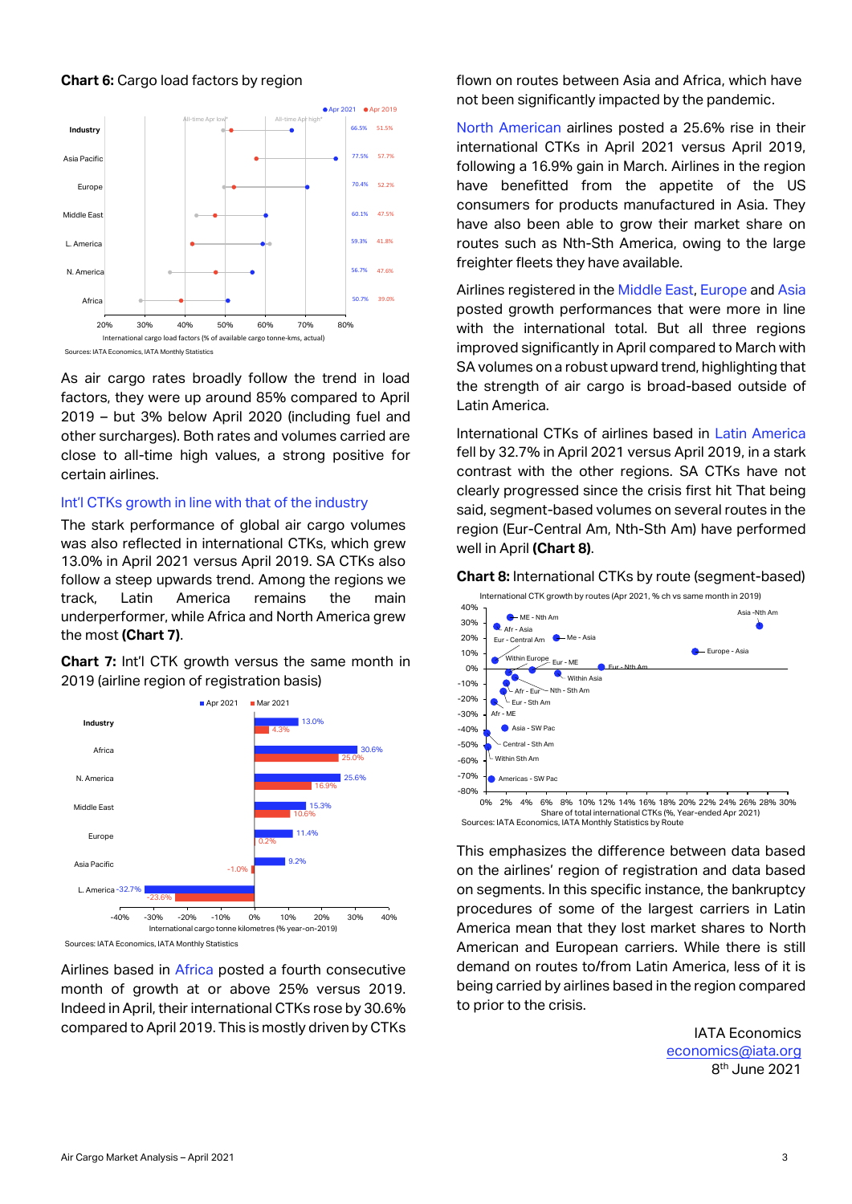#### **Chart 6:** Cargo load factors by region



As air cargo rates broadly follow the trend in load factors, they were up around 85% compared to April 2019 – but 3% below April 2020 (including fuel and other surcharges). Both rates and volumes carried are close to all-time high values, a strong positive for certain airlines.

#### Int'l CTKs growth in line with that of the industry

The stark performance of global air cargo volumes was also reflected in international CTKs, which grew 13.0% in April 2021 versus April 2019. SA CTKs also follow a steep upwards trend. Among the regions we track, Latin America remains the main underperformer, while Africa and North America grew the most **(Chart 7)**.

**Chart 7:** Int'l CTK growth versus the same month in 2019 (airline region of registration basis)



Sources: IATA Economics, IATA Monthly Statistics

Airlines based in Africa posted a fourth consecutive month of growth at or above 25% versus 2019. Indeed in April, their international CTKs rose by 30.6% compared to April 2019. This is mostly driven by CTKs

flown on routes between Asia and Africa, which have not been significantly impacted by the pandemic.

North American airlines posted a 25.6% rise in their international CTKs in April 2021 versus April 2019, following a 16.9% gain in March. Airlines in the region have benefitted from the appetite of the US consumers for products manufactured in Asia. They have also been able to grow their market share on routes such as Nth-Sth America, owing to the large freighter fleets they have available.

Airlines registered in the Middle East, Europe and Asia posted growth performances that were more in line with the international total. But all three regions improved significantly in April compared to March with SA volumes on a robust upward trend, highlighting that the strength of air cargo is broad-based outside of Latin America.

International CTKs of airlines based in Latin America fell by 32.7% in April 2021 versus April 2019, in a stark contrast with the other regions. SA CTKs have not clearly progressed since the crisis first hit That being said, segment-based volumes on several routes in the region (Eur-Central Am, Nth-Sth Am) have performed well in April **(Chart 8)**.



**Chart 8:** International CTKs by route (segment-based)

Sources: IATA Economics, IATA Monthly Statistics by Route

This emphasizes the difference between data based on the airlines' region of registration and data based on segments. In this specific instance, the bankruptcy procedures of some of the largest carriers in Latin America mean that they lost market shares to North American and European carriers. While there is still demand on routes to/from Latin America, less of it is being carried by airlines based in the region compared to prior to the crisis.

> IATA Economics [economics@iata.org](mailto:economics@iata.org) 8 th June 2021